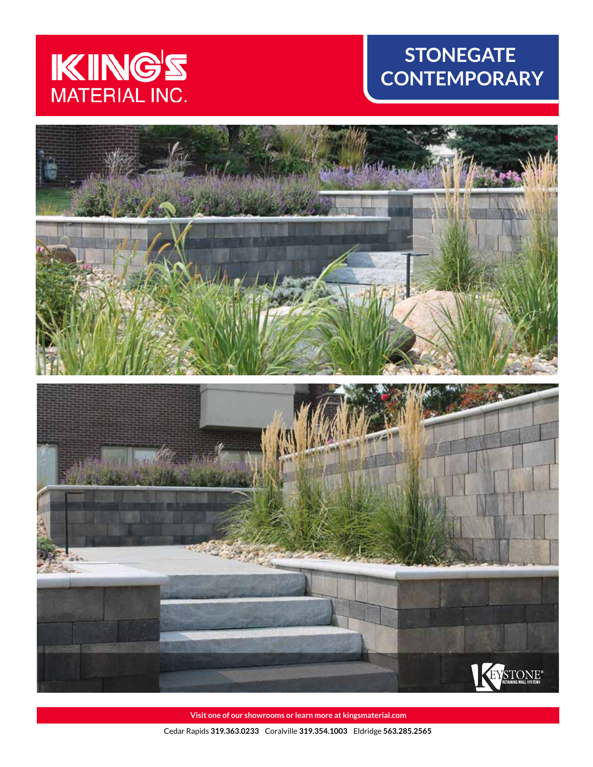

# **STONEGATE CONTEMPORARY**



**Visit one of our showrooms or learn more at kingsmaterial.com** Cedar Rapids **319.363.0233** Coralville **319.354.1003** Eldridge **563.285.2565**